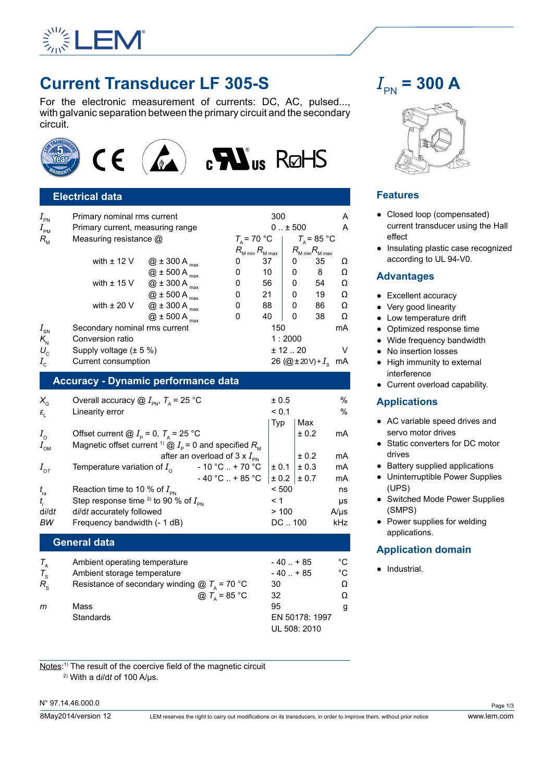

# **Current Transducer LF 305-S**

For the electronic measurement of currents: DC, AC, pulsed..., with galvanic separation between the primary circuit and the secondary circuit.



## **Electrical data**

| $I_{_{\sf PN}}$<br>$I_{_{\sf PM}}$ | Primary nominal rms current<br>Primary current, measuring range |                      |                                     | 300<br>$0 \pm 500$          |                                    |                                    |   |
|------------------------------------|-----------------------------------------------------------------|----------------------|-------------------------------------|-----------------------------|------------------------------------|------------------------------------|---|
| $R_{\rm M}$                        | Measuring resistance @                                          |                      |                                     | $T_{\rm A}$ = 70 °C         | $T_{\scriptscriptstyle A}$ = 85 °C |                                    |   |
|                                    |                                                                 |                      | $R_{_{\mathsf{M}\,\mathsf{min}}}$ , | $R_{_{\rm M\, max}}$        |                                    | $R_{\text{M min}}R_{\text{M max}}$ |   |
|                                    | with $\pm$ 12 V                                                 | $@$ ± 300 A $_{max}$ | 0                                   | 37                          | 0                                  | 35                                 | Ω |
|                                    |                                                                 | $@$ ± 500 A $_{max}$ | 0                                   | 10                          | 0                                  | 8                                  | Ω |
|                                    | with $\pm$ 15 V                                                 | $@$ ± 300 A $_{max}$ | 0                                   | 56                          | 0                                  | 54                                 | Ω |
|                                    |                                                                 | $@$ ± 500 A $_{max}$ | 0                                   | 21                          | O                                  | 19                                 | Ω |
|                                    | with $\pm$ 20 V                                                 | $@$ ± 300 A $_{max}$ | 0                                   | 88                          | 0                                  | 86                                 | Ω |
|                                    |                                                                 | $@$ ± 500 A $_{max}$ | 0                                   | 40                          | 0                                  | 38                                 | Ω |
| $I_{\scriptscriptstyle \rm SN}$    | Secondary nominal rms current<br>Conversion ratio               |                      |                                     | 150                         |                                    |                                    |   |
| $K_{\rm N}$                        |                                                                 |                      |                                     | 1:2000                      |                                    |                                    |   |
| $U_{\rm c}$                        | Supply voltage $(\pm 5\%)$                                      |                      |                                     | ± 12.20                     |                                    |                                    | v |
| $I_c$                              | Current consumption                                             |                      |                                     | 26 (@ ± 20 V) + $I_s$<br>mA |                                    |                                    |   |

#### **Accuracy - Dynamic performance data**

| <b>Electrical data</b><br>Primary nominal rms current<br>Primary current, measuring range<br>Measuring resistance @                                                                                                                                                                                                                                                                    | 300<br>A<br>$0.1 + 500$<br>A                                                                                                                                                                                                                                                                                                    | <b>Features</b><br>• Closed loop (compensa                                                                                                                                                                                                                                                                                                                                   |
|----------------------------------------------------------------------------------------------------------------------------------------------------------------------------------------------------------------------------------------------------------------------------------------------------------------------------------------------------------------------------------------|---------------------------------------------------------------------------------------------------------------------------------------------------------------------------------------------------------------------------------------------------------------------------------------------------------------------------------|------------------------------------------------------------------------------------------------------------------------------------------------------------------------------------------------------------------------------------------------------------------------------------------------------------------------------------------------------------------------------|
|                                                                                                                                                                                                                                                                                                                                                                                        |                                                                                                                                                                                                                                                                                                                                 |                                                                                                                                                                                                                                                                                                                                                                              |
| with $\pm$ 12 V<br>$@$ ± 300 A $_{\sf max}$<br>$@$ ± 500 A $_{\text{max}}$<br>$@$ $\pm$ 300 A $_{\rm max}$<br>with $\pm$ 15 V<br>$@$ $\pm$ 500 A $_{\rm{max}}$<br>$@$ $\pm$ 300 A $_{\rm{max}}$<br>with $\pm$ 20 V<br>$@$ ± 500 A $_{max}$<br>Secondary nominal rms current<br>Conversion ratio<br>Supply voltage $(\pm 5\%)$                                                          | $T_{\rm A}$ = 70 °C<br>$T_{\rm A}$ = 85 °C<br>$R_{\text{M min}}R_{\text{M max}}$<br>$R_{\text{M min}} R_{\text{M max}}$<br>37<br>Ω<br>35<br>0<br>0<br>8<br>0<br>10<br>Ω<br>0<br>Ω<br>56<br>54<br>0<br>0<br>21<br>19<br>Ω<br>0<br>0<br>88<br>86<br>Ω<br>0<br>0<br>40<br>38<br>0<br>0<br>Ω<br>150<br>mA<br>1:2000<br>± 12.20<br>V | current transducer usin<br>effect<br>• Insulating plastic case<br>according to UL 94-V0.<br><b>Advantages</b><br>• Excellent accuracy<br>• Very good linearity<br>• Low temperature drift<br>Optimized response tin<br>• Wide frequency bandw<br>No insertion losses<br>• High immunity to extern                                                                            |
|                                                                                                                                                                                                                                                                                                                                                                                        |                                                                                                                                                                                                                                                                                                                                 | interference                                                                                                                                                                                                                                                                                                                                                                 |
|                                                                                                                                                                                                                                                                                                                                                                                        |                                                                                                                                                                                                                                                                                                                                 | • Current overload capal                                                                                                                                                                                                                                                                                                                                                     |
| Overall accuracy $@I_{\scriptscriptstyle{\sf PN}}$ , $T_{\scriptscriptstyle{\sf A}}$ = 25 °C<br>Linearity error<br>Offset current @ $I_{\rm p}$ = 0, $T_{\rm A}$ = 25 °C<br>Temperature variation of $I_{\alpha}$<br>Reaction time to 10 % of $I_{\rm PN}$<br>Step response time <sup>2)</sup> to 90 % of $I_{\text{PN}}$<br>di/dt accurately followed<br>Frequency bandwidth (- 1 dB) | $\%$<br>± 0.5<br>< 0.1<br>%<br>Max<br>Typ<br>± 0.2<br>mA<br>± 0.2<br>mA<br>± 0.3<br>± 0.1<br>mA<br>± 0.2<br>± 0.7<br>mA<br>< 500<br>ns<br>< 1<br>μs<br>>100<br>$A/\mu s$<br>DC100<br>kHz                                                                                                                                        | <b>Applications</b><br>• AC variable speed driv<br>servo motor drives<br>• Static converters for DO<br>drives<br>• Battery supplied applic<br>• Uninterruptible Power &<br>(UPS)<br>• Switched Mode Power<br>(SMPS)<br>• Power supplies for weld<br>applications.                                                                                                            |
|                                                                                                                                                                                                                                                                                                                                                                                        |                                                                                                                                                                                                                                                                                                                                 | <b>Application domain</b>                                                                                                                                                                                                                                                                                                                                                    |
| Ambient operating temperature<br>Ambient storage temperature<br>Mass<br>Standards                                                                                                                                                                                                                                                                                                      | $-40$ $+85$<br>°C<br>$-40$ $+85$<br>°C<br>30<br>Ω<br>32<br>Ω<br>95<br>g<br>EN 50178: 1997<br>UL 508: 2010                                                                                                                                                                                                                       | Industrial.                                                                                                                                                                                                                                                                                                                                                                  |
|                                                                                                                                                                                                                                                                                                                                                                                        | Current consumption<br><b>General data</b>                                                                                                                                                                                                                                                                                      | 26 (@ ± 20 V) + $I_s$ mA<br><b>Accuracy - Dynamic performance data</b><br>Magnetic offset current <sup>1)</sup> $\textcircled{a}$ $I_{\text{P}}$ = 0 and specified $R_{\text{M}}$<br>after an overload of 3 x $I_{\rm PN}$<br>$-10 °C$ + 70 °C<br>-40 °C $. + 85$ °C<br>Resistance of secondary winding $\textcircled{2}$ $T_{\text{A}}$ = 70 °C<br>@ $T_{\text{A}}$ = 85 °C |

 $I_{\text{PN}}$  = 300 A



## **Features**

- Closed loop (compensated) current transducer using the Hall effect
- Insulating plastic case recognized according to UL 94-V0.

#### **Advantages**

- Excellent accuracy
- Very good linearity
- Low temperature drift
- Optimized response time
- Wide frequency bandwidth
- No insertion losses
- High immunity to external interference
- Current overload capability.

# **Applications**

- AC variable speed drives and servo motor drives
- Static converters for DC motor drives
- Battery supplied applications
- Uninterruptible Power Supplies (UPS)
- Switched Mode Power Supplies (SMPS)
- Power supplies for welding applications.

# **Application domain**

<u>Notes</u>:<sup>1)</sup> The result of the coercive field of the magnetic circuit 2) With a d*i*/d*t* of 100 A/µs.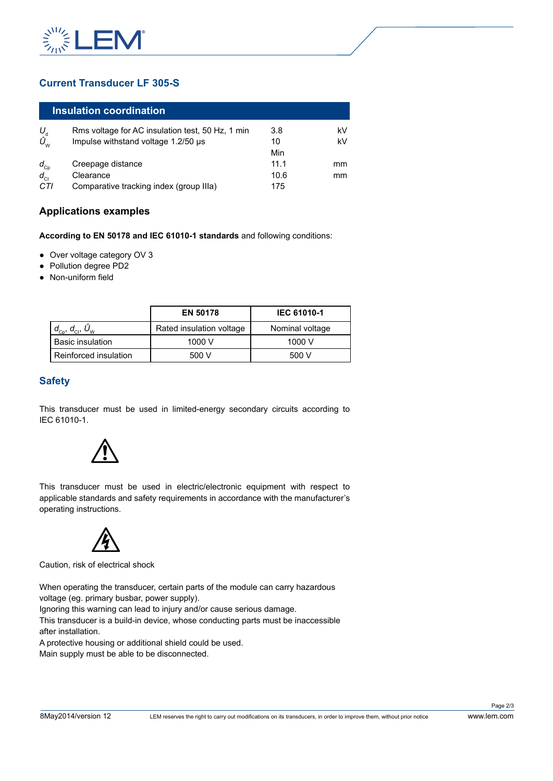

# **Current Transducer LF 305-S**

# **Insulation coordination**

| U,                            | Rms voltage for AC insulation test, 50 Hz, 1 min | 3.8  | kV |
|-------------------------------|--------------------------------------------------|------|----|
| $\hat{U}_{_{\text{\tiny W}}}$ | Impulse withstand voltage 1.2/50 µs              | 10   | kV |
|                               |                                                  | Min  |    |
| $d_{Cp}$                      | Creepage distance                                | 11.1 | mm |
| $d_{\rm cl}$                  | Clearance                                        | 10.6 | mm |
| CTI                           | Comparative tracking index (group IIIa)          | 175  |    |

# **Applications examples**

- Over voltage category OV 3
- Pollution degree PD2
- Non-uniform field

|                     | Impulse withstand voltage 1.2/50 µs                                           |                                                                                                                                                                 | 10<br>Min          | kV |
|---------------------|-------------------------------------------------------------------------------|-----------------------------------------------------------------------------------------------------------------------------------------------------------------|--------------------|----|
|                     | Creepage distance                                                             |                                                                                                                                                                 | 11.1               | mm |
|                     | Clearance                                                                     |                                                                                                                                                                 | 10.6               | mm |
| 7                   | Comparative tracking index (group IIIa)                                       |                                                                                                                                                                 | 175                |    |
|                     | oplications examples                                                          |                                                                                                                                                                 |                    |    |
|                     |                                                                               | cording to EN 50178 and IEC 61010-1 standards and following conditions:                                                                                         |                    |    |
|                     | Over voltage category OV 3<br>Pollution degree PD2<br>Non-uniform field       |                                                                                                                                                                 |                    |    |
|                     |                                                                               | EN 50178                                                                                                                                                        | <b>IEC 61010-1</b> |    |
|                     | $d_{\text{\tiny{Cp}}}$ , $d_{\text{\tiny{C}l}}$ , $\hat{U}_{\text{\tiny{W}}}$ | Rated insulation voltage                                                                                                                                        | Nominal voltage    |    |
|                     | <b>Basic insulation</b>                                                       | 1000 V                                                                                                                                                          | 1000 V             |    |
|                     |                                                                               |                                                                                                                                                                 | 500 V              |    |
|                     | Reinforced insulation                                                         | 500 V<br>is transducer must be used in limited-energy secondary circuits according to                                                                           |                    |    |
| afety<br>C 61010-1. | erating instructions.                                                         | is transducer must be used in electric/electronic equipment with respect to<br>plicable standards and safety requirements in accordance with the manufacturer's |                    |    |
|                     | ution, risk of electrical shock                                               |                                                                                                                                                                 |                    |    |

# **Safety**





Caution, risk of electrical shock

A protective housing or additional shield could be used.

Main supply must be able to be disconnected.